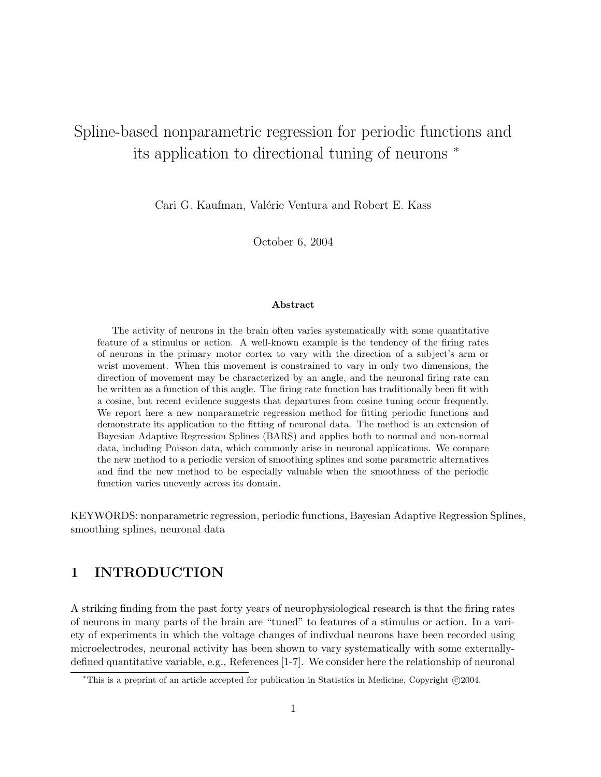# Spline-based nonparametric regression for periodic functions and its application to directional tuning of neurons <sup>∗</sup>

Cari G. Kaufman, Valérie Ventura and Robert E. Kass

October 6, 2004

#### Abstract

The activity of neurons in the brain often varies systematically with some quantitative feature of a stimulus or action. A well-known example is the tendency of the firing rates of neurons in the primary motor cortex to vary with the direction of a subject's arm or wrist movement. When this movement is constrained to vary in only two dimensions, the direction of movement may be characterized by an angle, and the neuronal firing rate can be written as a function of this angle. The firing rate function has traditionally been fit with a cosine, but recent evidence suggests that departures from cosine tuning occur frequently. We report here a new nonparametric regression method for fitting periodic functions and demonstrate its application to the fitting of neuronal data. The method is an extension of Bayesian Adaptive Regression Splines (BARS) and applies both to normal and non-normal data, including Poisson data, which commonly arise in neuronal applications. We compare the new method to a periodic version of smoothing splines and some parametric alternatives and find the new method to be especially valuable when the smoothness of the periodic function varies unevenly across its domain.

KEYWORDS: nonparametric regression, periodic functions, Bayesian Adaptive Regression Splines, smoothing splines, neuronal data

# 1 INTRODUCTION

A striking finding from the past forty years of neurophysiological research is that the firing rates of neurons in many parts of the brain are "tuned" to features of a stimulus or action. In a variety of experiments in which the voltage changes of indivdual neurons have been recorded using microelectrodes, neuronal activity has been shown to vary systematically with some externallydefined quantitative variable, e.g., References [1-7]. We consider here the relationship of neuronal

<sup>\*</sup>This is a preprint of an article accepted for publication in Statistics in Medicine, Copyright ©2004.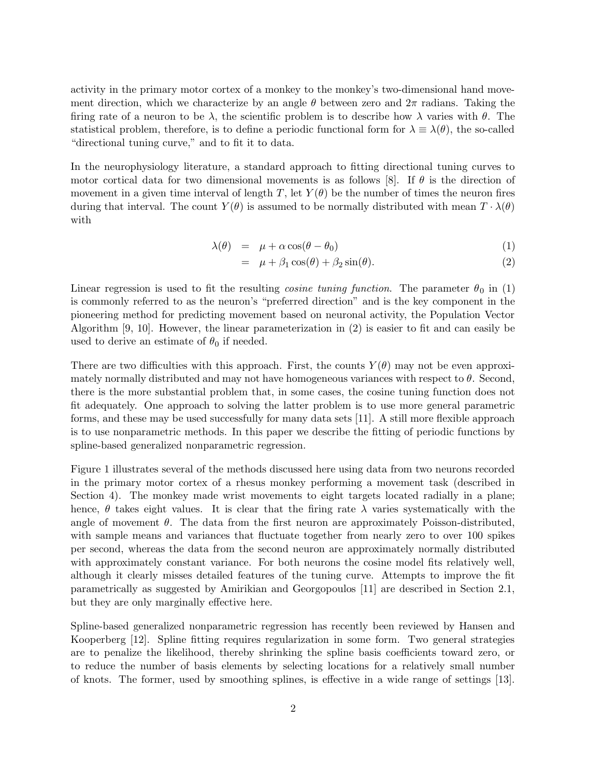activity in the primary motor cortex of a monkey to the monkey's two-dimensional hand movement direction, which we characterize by an angle  $\theta$  between zero and  $2\pi$  radians. Taking the firing rate of a neuron to be  $\lambda$ , the scientific problem is to describe how  $\lambda$  varies with  $\theta$ . The statistical problem, therefore, is to define a periodic functional form for  $\lambda \equiv \lambda(\theta)$ , the so-called "directional tuning curve," and to fit it to data.

In the neurophysiology literature, a standard approach to fitting directional tuning curves to motor cortical data for two dimensional movements is as follows [8]. If  $\theta$  is the direction of movement in a given time interval of length T, let  $Y(\theta)$  be the number of times the neuron fires during that interval. The count  $Y(\theta)$  is assumed to be normally distributed with mean  $T \cdot \lambda(\theta)$ with

$$
\lambda(\theta) = \mu + \alpha \cos(\theta - \theta_0) \tag{1}
$$

$$
= \mu + \beta_1 \cos(\theta) + \beta_2 \sin(\theta). \tag{2}
$$

Linear regression is used to fit the resulting *cosine tuning function*. The parameter  $\theta_0$  in (1) is commonly referred to as the neuron's "preferred direction" and is the key component in the pioneering method for predicting movement based on neuronal activity, the Population Vector Algorithm [9, 10]. However, the linear parameterization in (2) is easier to fit and can easily be used to derive an estimate of  $\theta_0$  if needed.

There are two difficulties with this approach. First, the counts  $Y(\theta)$  may not be even approximately normally distributed and may not have homogeneous variances with respect to  $\theta$ . Second, there is the more substantial problem that, in some cases, the cosine tuning function does not fit adequately. One approach to solving the latter problem is to use more general parametric forms, and these may be used successfully for many data sets [11]. A still more flexible approach is to use nonparametric methods. In this paper we describe the fitting of periodic functions by spline-based generalized nonparametric regression.

Figure 1 illustrates several of the methods discussed here using data from two neurons recorded in the primary motor cortex of a rhesus monkey performing a movement task (described in Section 4). The monkey made wrist movements to eight targets located radially in a plane; hence,  $\theta$  takes eight values. It is clear that the firing rate  $\lambda$  varies systematically with the angle of movement  $\theta$ . The data from the first neuron are approximately Poisson-distributed, with sample means and variances that fluctuate together from nearly zero to over 100 spikes per second, whereas the data from the second neuron are approximately normally distributed with approximately constant variance. For both neurons the cosine model fits relatively well, although it clearly misses detailed features of the tuning curve. Attempts to improve the fit parametrically as suggested by Amirikian and Georgopoulos [11] are described in Section 2.1, but they are only marginally effective here.

Spline-based generalized nonparametric regression has recently been reviewed by Hansen and Kooperberg [12]. Spline fitting requires regularization in some form. Two general strategies are to penalize the likelihood, thereby shrinking the spline basis coefficients toward zero, or to reduce the number of basis elements by selecting locations for a relatively small number of knots. The former, used by smoothing splines, is effective in a wide range of settings [13].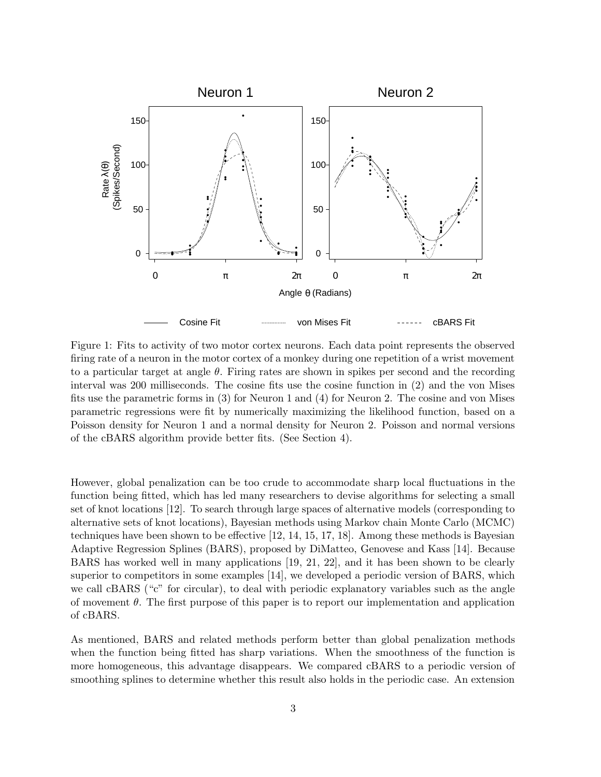

Figure 1: Fits to activity of two motor cortex neurons. Each data point represents the observed firing rate of a neuron in the motor cortex of a monkey during one repetition of a wrist movement to a particular target at angle  $\theta$ . Firing rates are shown in spikes per second and the recording interval was 200 milliseconds. The cosine fits use the cosine function in (2) and the von Mises fits use the parametric forms in (3) for Neuron 1 and (4) for Neuron 2. The cosine and von Mises parametric regressions were fit by numerically maximizing the likelihood function, based on a Poisson density for Neuron 1 and a normal density for Neuron 2. Poisson and normal versions of the cBARS algorithm provide better fits. (See Section 4).

However, global penalization can be too crude to accommodate sharp local fluctuations in the function being fitted, which has led many researchers to devise algorithms for selecting a small set of knot locations [12]. To search through large spaces of alternative models (corresponding to alternative sets of knot locations), Bayesian methods using Markov chain Monte Carlo (MCMC) techniques have been shown to be effective [12, 14, 15, 17, 18]. Among these methods is Bayesian Adaptive Regression Splines (BARS), proposed by DiMatteo, Genovese and Kass [14]. Because BARS has worked well in many applications [19, 21, 22], and it has been shown to be clearly superior to competitors in some examples [14], we developed a periodic version of BARS, which we call cBARS ("c" for circular), to deal with periodic explanatory variables such as the angle of movement  $\theta$ . The first purpose of this paper is to report our implementation and application of cBARS.

As mentioned, BARS and related methods perform better than global penalization methods when the function being fitted has sharp variations. When the smoothness of the function is more homogeneous, this advantage disappears. We compared cBARS to a periodic version of smoothing splines to determine whether this result also holds in the periodic case. An extension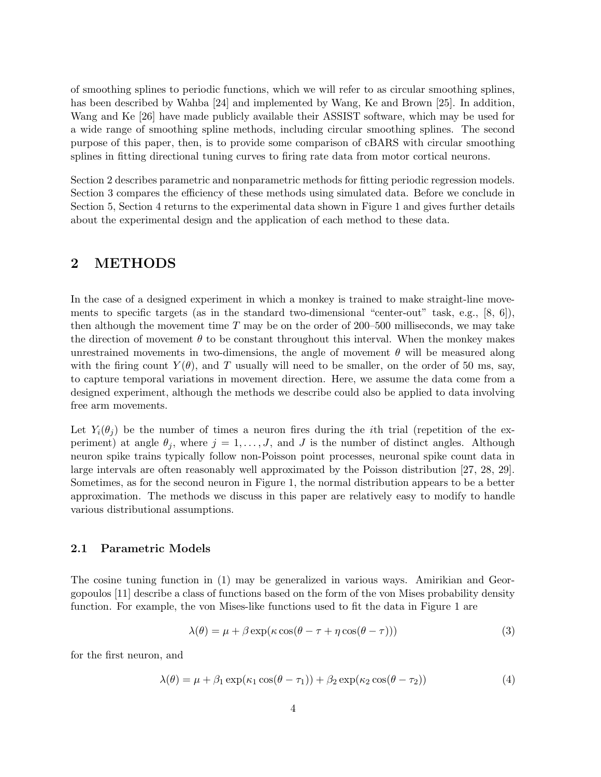of smoothing splines to periodic functions, which we will refer to as circular smoothing splines, has been described by Wahba [24] and implemented by Wang, Ke and Brown [25]. In addition, Wang and Ke [26] have made publicly available their ASSIST software, which may be used for a wide range of smoothing spline methods, including circular smoothing splines. The second purpose of this paper, then, is to provide some comparison of cBARS with circular smoothing splines in fitting directional tuning curves to firing rate data from motor cortical neurons.

Section 2 describes parametric and nonparametric methods for fitting periodic regression models. Section 3 compares the efficiency of these methods using simulated data. Before we conclude in Section 5, Section 4 returns to the experimental data shown in Figure 1 and gives further details about the experimental design and the application of each method to these data.

### 2 METHODS

In the case of a designed experiment in which a monkey is trained to make straight-line movements to specific targets (as in the standard two-dimensional "center-out" task, e.g., [8, 6]), then although the movement time  $T$  may be on the order of 200–500 milliseconds, we may take the direction of movement  $\theta$  to be constant throughout this interval. When the monkey makes unrestrained movements in two-dimensions, the angle of movement  $\theta$  will be measured along with the firing count  $Y(\theta)$ , and T usually will need to be smaller, on the order of 50 ms, say, to capture temporal variations in movement direction. Here, we assume the data come from a designed experiment, although the methods we describe could also be applied to data involving free arm movements.

Let  $Y_i(\theta_j)$  be the number of times a neuron fires during the *i*th trial (repetition of the experiment) at angle  $\theta_i$ , where  $j = 1, \ldots, J$ , and J is the number of distinct angles. Although neuron spike trains typically follow non-Poisson point processes, neuronal spike count data in large intervals are often reasonably well approximated by the Poisson distribution [27, 28, 29]. Sometimes, as for the second neuron in Figure 1, the normal distribution appears to be a better approximation. The methods we discuss in this paper are relatively easy to modify to handle various distributional assumptions.

#### 2.1 Parametric Models

The cosine tuning function in (1) may be generalized in various ways. Amirikian and Georgopoulos [11] describe a class of functions based on the form of the von Mises probability density function. For example, the von Mises-like functions used to fit the data in Figure 1 are

$$
\lambda(\theta) = \mu + \beta \exp(\kappa \cos(\theta - \tau + \eta \cos(\theta - \tau)))
$$
\n(3)

for the first neuron, and

$$
\lambda(\theta) = \mu + \beta_1 \exp(\kappa_1 \cos(\theta - \tau_1)) + \beta_2 \exp(\kappa_2 \cos(\theta - \tau_2))
$$
\n(4)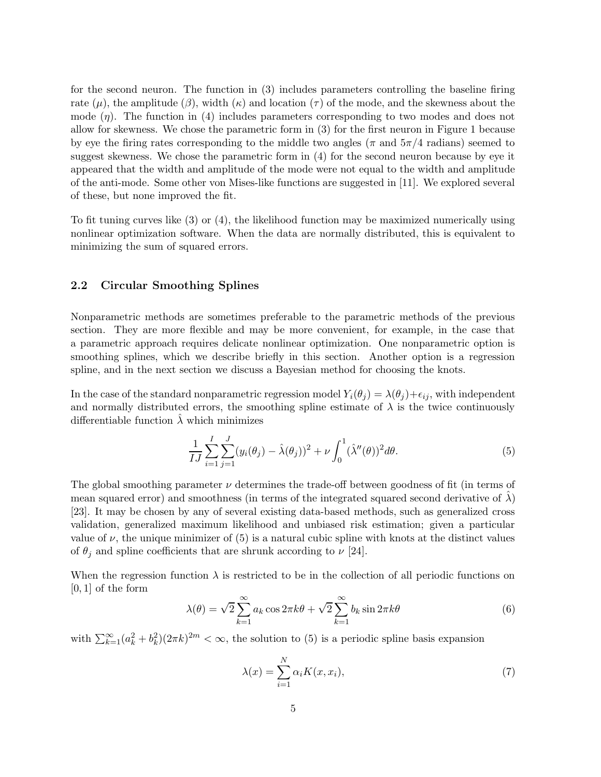for the second neuron. The function in (3) includes parameters controlling the baseline firing rate ( $\mu$ ), the amplitude ( $\beta$ ), width ( $\kappa$ ) and location ( $\tau$ ) of the mode, and the skewness about the mode  $(\eta)$ . The function in (4) includes parameters corresponding to two modes and does not allow for skewness. We chose the parametric form in (3) for the first neuron in Figure 1 because by eye the firing rates corresponding to the middle two angles ( $\pi$  and  $5\pi/4$  radians) seemed to suggest skewness. We chose the parametric form in (4) for the second neuron because by eye it appeared that the width and amplitude of the mode were not equal to the width and amplitude of the anti-mode. Some other von Mises-like functions are suggested in [11]. We explored several of these, but none improved the fit.

To fit tuning curves like (3) or (4), the likelihood function may be maximized numerically using nonlinear optimization software. When the data are normally distributed, this is equivalent to minimizing the sum of squared errors.

### 2.2 Circular Smoothing Splines

Nonparametric methods are sometimes preferable to the parametric methods of the previous section. They are more flexible and may be more convenient, for example, in the case that a parametric approach requires delicate nonlinear optimization. One nonparametric option is smoothing splines, which we describe briefly in this section. Another option is a regression spline, and in the next section we discuss a Bayesian method for choosing the knots.

In the case of the standard nonparametric regression model  $Y_i(\theta_i) = \lambda(\theta_i) + \epsilon_{ij}$ , with independent and normally distributed errors, the smoothing spline estimate of  $\lambda$  is the twice continuously differentiable function  $\lambda$  which minimizes

$$
\frac{1}{IJ} \sum_{i=1}^{I} \sum_{j=1}^{J} (y_i(\theta_j) - \hat{\lambda}(\theta_j))^2 + \nu \int_0^1 (\hat{\lambda}''(\theta))^2 d\theta.
$$
 (5)

The global smoothing parameter  $\nu$  determines the trade-off between goodness of fit (in terms of mean squared error) and smoothness (in terms of the integrated squared second derivative of  $\lambda$ ) [23]. It may be chosen by any of several existing data-based methods, such as generalized cross validation, generalized maximum likelihood and unbiased risk estimation; given a particular value of  $\nu$ , the unique minimizer of (5) is a natural cubic spline with knots at the distinct values of  $\theta_j$  and spline coefficients that are shrunk according to  $\nu$  [24].

When the regression function  $\lambda$  is restricted to be in the collection of all periodic functions on  $[0, 1]$  of the form

$$
\lambda(\theta) = \sqrt{2} \sum_{k=1}^{\infty} a_k \cos 2\pi k \theta + \sqrt{2} \sum_{k=1}^{\infty} b_k \sin 2\pi k \theta \tag{6}
$$

with  $\sum_{k=1}^{\infty} (a_k^2 + b_k^2)(2\pi k)^{2m} < \infty$ , the solution to (5) is a periodic spline basis expansion

$$
\lambda(x) = \sum_{i=1}^{N} \alpha_i K(x, x_i),\tag{7}
$$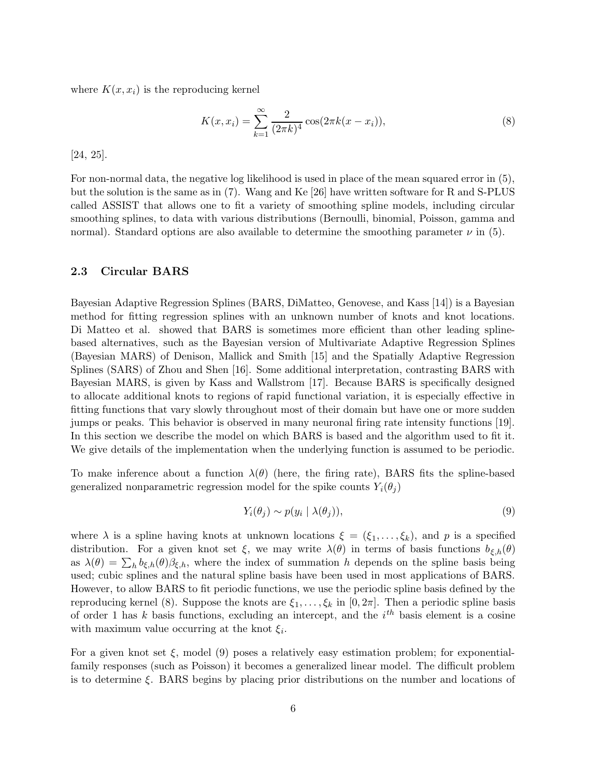where  $K(x, x_i)$  is the reproducing kernel

$$
K(x, x_i) = \sum_{k=1}^{\infty} \frac{2}{(2\pi k)^4} \cos(2\pi k(x - x_i)),
$$
\n(8)

[24, 25].

For non-normal data, the negative log likelihood is used in place of the mean squared error in (5), but the solution is the same as in (7). Wang and Ke [26] have written software for R and S-PLUS called ASSIST that allows one to fit a variety of smoothing spline models, including circular smoothing splines, to data with various distributions (Bernoulli, binomial, Poisson, gamma and normal). Standard options are also available to determine the smoothing parameter  $\nu$  in (5).

#### 2.3 Circular BARS

Bayesian Adaptive Regression Splines (BARS, DiMatteo, Genovese, and Kass [14]) is a Bayesian method for fitting regression splines with an unknown number of knots and knot locations. Di Matteo et al. showed that BARS is sometimes more efficient than other leading splinebased alternatives, such as the Bayesian version of Multivariate Adaptive Regression Splines (Bayesian MARS) of Denison, Mallick and Smith [15] and the Spatially Adaptive Regression Splines (SARS) of Zhou and Shen [16]. Some additional interpretation, contrasting BARS with Bayesian MARS, is given by Kass and Wallstrom [17]. Because BARS is specifically designed to allocate additional knots to regions of rapid functional variation, it is especially effective in fitting functions that vary slowly throughout most of their domain but have one or more sudden jumps or peaks. This behavior is observed in many neuronal firing rate intensity functions [19]. In this section we describe the model on which BARS is based and the algorithm used to fit it. We give details of the implementation when the underlying function is assumed to be periodic.

To make inference about a function  $\lambda(\theta)$  (here, the firing rate), BARS fits the spline-based generalized nonparametric regression model for the spike counts  $Y_i(\theta_i)$ 

$$
Y_i(\theta_j) \sim p(y_i \mid \lambda(\theta_j)),\tag{9}
$$

where  $\lambda$  is a spline having knots at unknown locations  $\xi = (\xi_1, \ldots, \xi_k)$ , and p is a specified distribution. For a given knot set  $\xi$ , we may write  $\lambda(\theta)$  in terms of basis functions  $b_{\xi,h}(\theta)$ as  $\lambda(\theta) = \sum_h b_{\xi,h}(\theta) \beta_{\xi,h}$ , where the index of summation h depends on the spline basis being used; cubic splines and the natural spline basis have been used in most applications of BARS. However, to allow BARS to fit periodic functions, we use the periodic spline basis defined by the reproducing kernel (8). Suppose the knots are  $\xi_1, \ldots, \xi_k$  in [0, 2π]. Then a periodic spline basis of order 1 has k basis functions, excluding an intercept, and the  $i<sup>th</sup>$  basis element is a cosine with maximum value occurring at the knot  $\xi_i$ .

For a given knot set  $\xi$ , model (9) poses a relatively easy estimation problem; for exponentialfamily responses (such as Poisson) it becomes a generalized linear model. The difficult problem is to determine  $\xi$ . BARS begins by placing prior distributions on the number and locations of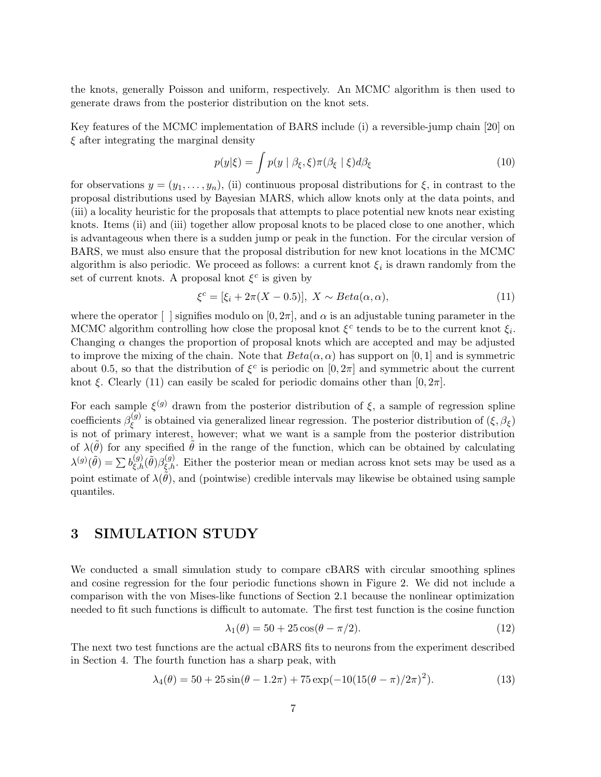the knots, generally Poisson and uniform, respectively. An MCMC algorithm is then used to generate draws from the posterior distribution on the knot sets.

Key features of the MCMC implementation of BARS include (i) a reversible-jump chain [20] on  $\xi$  after integrating the marginal density

$$
p(y|\xi) = \int p(y \mid \beta_{\xi}, \xi) \pi(\beta_{\xi} \mid \xi) d\beta_{\xi}
$$
 (10)

for observations  $y = (y_1, \ldots, y_n)$ , (ii) continuous proposal distributions for  $\xi$ , in contrast to the proposal distributions used by Bayesian MARS, which allow knots only at the data points, and (iii) a locality heuristic for the proposals that attempts to place potential new knots near existing knots. Items (ii) and (iii) together allow proposal knots to be placed close to one another, which is advantageous when there is a sudden jump or peak in the function. For the circular version of BARS, we must also ensure that the proposal distribution for new knot locations in the MCMC algorithm is also periodic. We proceed as follows: a current knot  $\xi_i$  is drawn randomly from the set of current knots. A proposal knot  $\xi^c$  is given by

$$
\xi^{c} = [\xi_i + 2\pi(X - 0.5)], X \sim Beta(\alpha, \alpha), \qquad (11)
$$

where the operator  $\lceil \cdot \rceil$  signifies modulo on  $[0, 2\pi]$ , and  $\alpha$  is an adjustable tuning parameter in the MCMC algorithm controlling how close the proposal knot  $\xi^c$  tends to be to the current knot  $\xi_i$ . Changing  $\alpha$  changes the proportion of proposal knots which are accepted and may be adjusted to improve the mixing of the chain. Note that  $Beta(\alpha, \alpha)$  has support on [0, 1] and is symmetric about 0.5, so that the distribution of  $\xi^c$  is periodic on  $[0, 2\pi]$  and symmetric about the current knot ξ. Clearly (11) can easily be scaled for periodic domains other than  $[0, 2\pi]$ .

For each sample  $\xi^{(g)}$  drawn from the posterior distribution of  $\xi$ , a sample of regression spline coefficients  $\beta_{\xi}^{(g)}$  $\zeta^{(g)}$  is obtained via generalized linear regression. The posterior distribution of  $(\xi, \beta_{\xi})$ is not of primary interest, however; what we want is a sample from the posterior distribution of  $\lambda(\tilde{\theta})$  for any specified  $\tilde{\theta}$  in the range of the function, which can be obtained by calculating  $\lambda^{(g)}(\tilde{\theta}) = \sum b_{\xi,h}^{(g)}(\tilde{\theta}) \beta_{\xi,h}^{(g)}$ . Either the posterior mean or median across knot sets may be used as a point estimate of  $\lambda(\tilde{\theta})$ , and (pointwise) credible intervals may likewise be obtained using sample quantiles.

## 3 SIMULATION STUDY

We conducted a small simulation study to compare cBARS with circular smoothing splines and cosine regression for the four periodic functions shown in Figure 2. We did not include a comparison with the von Mises-like functions of Section 2.1 because the nonlinear optimization needed to fit such functions is difficult to automate. The first test function is the cosine function

$$
\lambda_1(\theta) = 50 + 25\cos(\theta - \pi/2). \tag{12}
$$

The next two test functions are the actual cBARS fits to neurons from the experiment described in Section 4. The fourth function has a sharp peak, with

$$
\lambda_4(\theta) = 50 + 25\sin(\theta - 1.2\pi) + 75\exp(-10(15(\theta - \pi)/2\pi)^2). \tag{13}
$$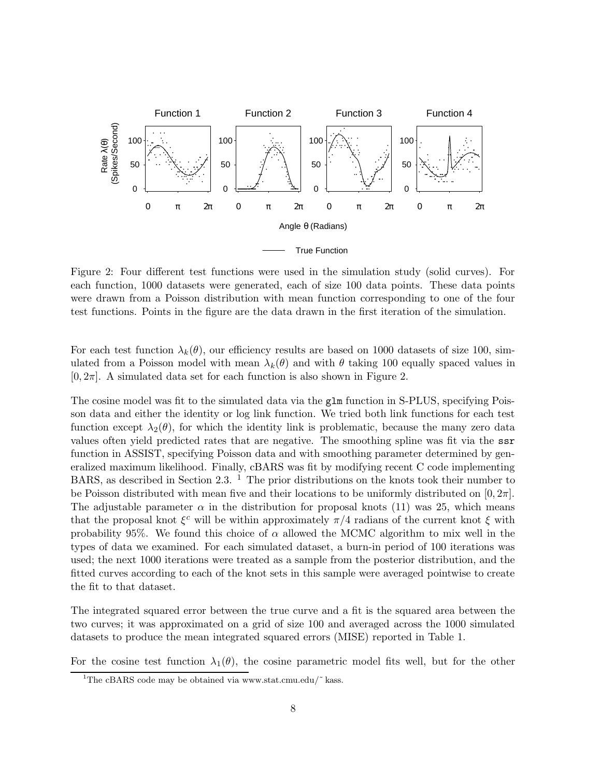

Figure 2: Four different test functions were used in the simulation study (solid curves). For each function, 1000 datasets were generated, each of size 100 data points. These data points were drawn from a Poisson distribution with mean function corresponding to one of the four test functions. Points in the figure are the data drawn in the first iteration of the simulation.

For each test function  $\lambda_k(\theta)$ , our efficiency results are based on 1000 datasets of size 100, simulated from a Poisson model with mean  $\lambda_k(\theta)$  and with  $\theta$  taking 100 equally spaced values in  $[0, 2\pi]$ . A simulated data set for each function is also shown in Figure 2.

The cosine model was fit to the simulated data via the glm function in S-PLUS, specifying Poisson data and either the identity or log link function. We tried both link functions for each test function except  $\lambda_2(\theta)$ , for which the identity link is problematic, because the many zero data values often yield predicted rates that are negative. The smoothing spline was fit via the ssr function in ASSIST, specifying Poisson data and with smoothing parameter determined by generalized maximum likelihood. Finally, cBARS was fit by modifying recent C code implementing BARS, as described in Section 2.3.  $^1$  The prior distributions on the knots took their number to be Poisson distributed with mean five and their locations to be uniformly distributed on  $[0, 2\pi]$ . The adjustable parameter  $\alpha$  in the distribution for proposal knots (11) was 25, which means that the proposal knot  $\xi^c$  will be within approximately  $\pi/4$  radians of the current knot  $\xi$  with probability 95%. We found this choice of  $\alpha$  allowed the MCMC algorithm to mix well in the types of data we examined. For each simulated dataset, a burn-in period of 100 iterations was used; the next 1000 iterations were treated as a sample from the posterior distribution, and the fitted curves according to each of the knot sets in this sample were averaged pointwise to create the fit to that dataset.

The integrated squared error between the true curve and a fit is the squared area between the two curves; it was approximated on a grid of size 100 and averaged across the 1000 simulated datasets to produce the mean integrated squared errors (MISE) reported in Table 1.

For the cosine test function  $\lambda_1(\theta)$ , the cosine parametric model fits well, but for the other

<sup>&</sup>lt;sup>1</sup>The cBARS code may be obtained via www.stat.cmu.edu/ $\tilde{ }$  kass.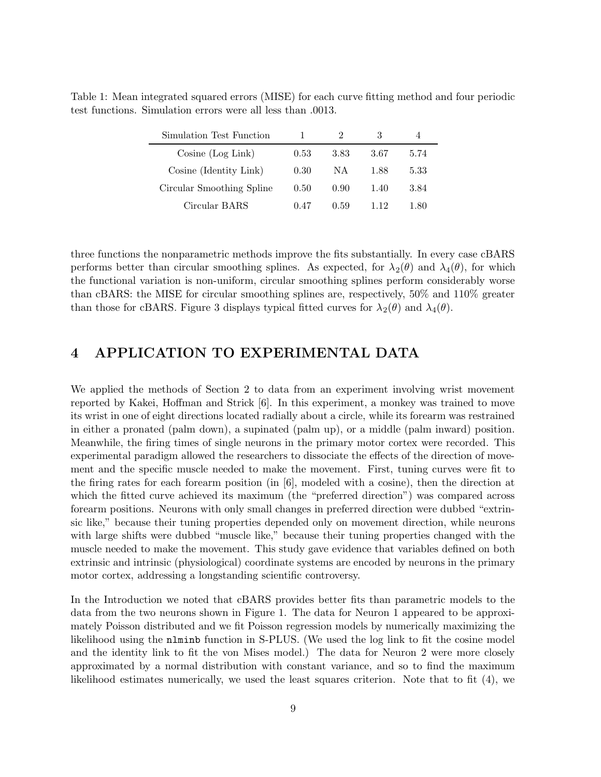Table 1: Mean integrated squared errors (MISE) for each curve fitting method and four periodic test functions. Simulation errors were all less than .0013.

| Simulation Test Function  |      |      |      |      |
|---------------------------|------|------|------|------|
| Cosine (Log Link)         | 0.53 | 3.83 | 3.67 | 5.74 |
| Cosine (Identity Link)    | 0.30 | NА   | 1.88 | 5.33 |
| Circular Smoothing Spline | 0.50 | 0.90 | 1.40 | 3.84 |
| Circular BARS             | 0.47 | 0.59 | 119  | 1.80 |

three functions the nonparametric methods improve the fits substantially. In every case cBARS performs better than circular smoothing splines. As expected, for  $\lambda_2(\theta)$  and  $\lambda_4(\theta)$ , for which the functional variation is non-uniform, circular smoothing splines perform considerably worse than cBARS: the MISE for circular smoothing splines are, respectively, 50% and 110% greater than those for cBARS. Figure 3 displays typical fitted curves for  $\lambda_2(\theta)$  and  $\lambda_4(\theta)$ .

# 4 APPLICATION TO EXPERIMENTAL DATA

We applied the methods of Section 2 to data from an experiment involving wrist movement reported by Kakei, Hoffman and Strick [6]. In this experiment, a monkey was trained to move its wrist in one of eight directions located radially about a circle, while its forearm was restrained in either a pronated (palm down), a supinated (palm up), or a middle (palm inward) position. Meanwhile, the firing times of single neurons in the primary motor cortex were recorded. This experimental paradigm allowed the researchers to dissociate the effects of the direction of movement and the specific muscle needed to make the movement. First, tuning curves were fit to the firing rates for each forearm position (in [6], modeled with a cosine), then the direction at which the fitted curve achieved its maximum (the "preferred direction") was compared across forearm positions. Neurons with only small changes in preferred direction were dubbed "extrinsic like," because their tuning properties depended only on movement direction, while neurons with large shifts were dubbed "muscle like," because their tuning properties changed with the muscle needed to make the movement. This study gave evidence that variables defined on both extrinsic and intrinsic (physiological) coordinate systems are encoded by neurons in the primary motor cortex, addressing a longstanding scientific controversy.

In the Introduction we noted that cBARS provides better fits than parametric models to the data from the two neurons shown in Figure 1. The data for Neuron 1 appeared to be approximately Poisson distributed and we fit Poisson regression models by numerically maximizing the likelihood using the nlminb function in S-PLUS. (We used the log link to fit the cosine model and the identity link to fit the von Mises model.) The data for Neuron 2 were more closely approximated by a normal distribution with constant variance, and so to find the maximum likelihood estimates numerically, we used the least squares criterion. Note that to fit (4), we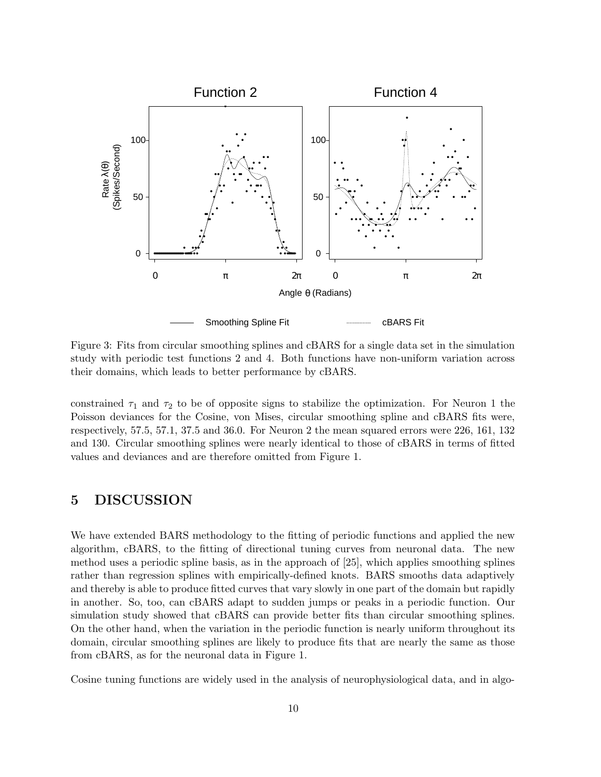

Figure 3: Fits from circular smoothing splines and cBARS for a single data set in the simulation study with periodic test functions 2 and 4. Both functions have non-uniform variation across their domains, which leads to better performance by cBARS.

constrained  $\tau_1$  and  $\tau_2$  to be of opposite signs to stabilize the optimization. For Neuron 1 the Poisson deviances for the Cosine, von Mises, circular smoothing spline and cBARS fits were, respectively, 57.5, 57.1, 37.5 and 36.0. For Neuron 2 the mean squared errors were 226, 161, 132 and 130. Circular smoothing splines were nearly identical to those of cBARS in terms of fitted values and deviances and are therefore omitted from Figure 1.

# 5 DISCUSSION

We have extended BARS methodology to the fitting of periodic functions and applied the new algorithm, cBARS, to the fitting of directional tuning curves from neuronal data. The new method uses a periodic spline basis, as in the approach of [25], which applies smoothing splines rather than regression splines with empirically-defined knots. BARS smooths data adaptively and thereby is able to produce fitted curves that vary slowly in one part of the domain but rapidly in another. So, too, can cBARS adapt to sudden jumps or peaks in a periodic function. Our simulation study showed that cBARS can provide better fits than circular smoothing splines. On the other hand, when the variation in the periodic function is nearly uniform throughout its domain, circular smoothing splines are likely to produce fits that are nearly the same as those from cBARS, as for the neuronal data in Figure 1.

Cosine tuning functions are widely used in the analysis of neurophysiological data, and in algo-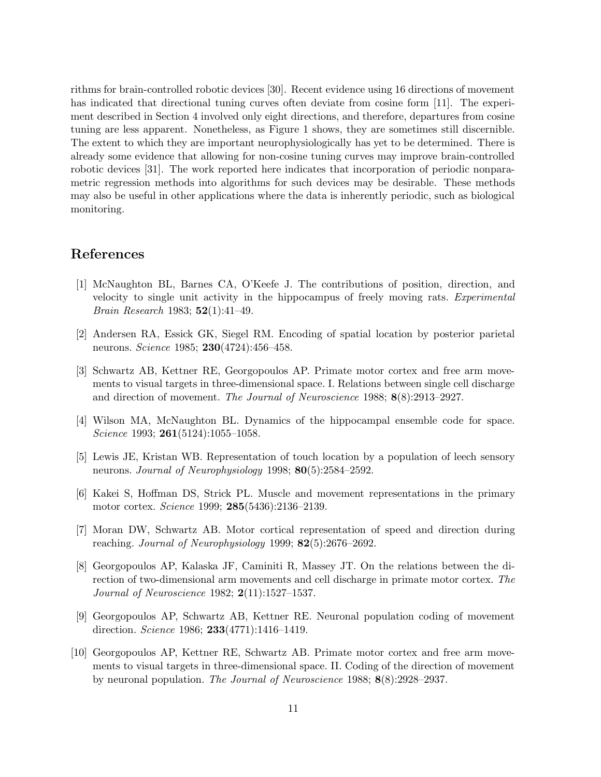rithms for brain-controlled robotic devices [30]. Recent evidence using 16 directions of movement has indicated that directional tuning curves often deviate from cosine form [11]. The experiment described in Section 4 involved only eight directions, and therefore, departures from cosine tuning are less apparent. Nonetheless, as Figure 1 shows, they are sometimes still discernible. The extent to which they are important neurophysiologically has yet to be determined. There is already some evidence that allowing for non-cosine tuning curves may improve brain-controlled robotic devices [31]. The work reported here indicates that incorporation of periodic nonparametric regression methods into algorithms for such devices may be desirable. These methods may also be useful in other applications where the data is inherently periodic, such as biological monitoring.

### References

- [1] McNaughton BL, Barnes CA, O'Keefe J. The contributions of position, direction, and velocity to single unit activity in the hippocampus of freely moving rats. Experimental Brain Research 1983; 52(1):41–49.
- [2] Andersen RA, Essick GK, Siegel RM. Encoding of spatial location by posterior parietal neurons. *Science* 1985; **230**(4724):456–458.
- [3] Schwartz AB, Kettner RE, Georgopoulos AP. Primate motor cortex and free arm movements to visual targets in three-dimensional space. I. Relations between single cell discharge and direction of movement. The Journal of Neuroscience 1988; 8(8):2913–2927.
- [4] Wilson MA, McNaughton BL. Dynamics of the hippocampal ensemble code for space. Science 1993; 261(5124):1055-1058.
- [5] Lewis JE, Kristan WB. Representation of touch location by a population of leech sensory neurons. *Journal of Neurophysiology* 1998; **80**(5):2584–2592.
- [6] Kakei S, Hoffman DS, Strick PL. Muscle and movement representations in the primary motor cortex. Science 1999; 285(5436):2136–2139.
- [7] Moran DW, Schwartz AB. Motor cortical representation of speed and direction during reaching. Journal of Neurophysiology 1999; 82(5):2676–2692.
- [8] Georgopoulos AP, Kalaska JF, Caminiti R, Massey JT. On the relations between the direction of two-dimensional arm movements and cell discharge in primate motor cortex. The Journal of Neuroscience 1982; 2(11):1527–1537.
- [9] Georgopoulos AP, Schwartz AB, Kettner RE. Neuronal population coding of movement direction. Science 1986; 233(4771):1416–1419.
- [10] Georgopoulos AP, Kettner RE, Schwartz AB. Primate motor cortex and free arm movements to visual targets in three-dimensional space. II. Coding of the direction of movement by neuronal population. The Journal of Neuroscience 1988; 8(8):2928–2937.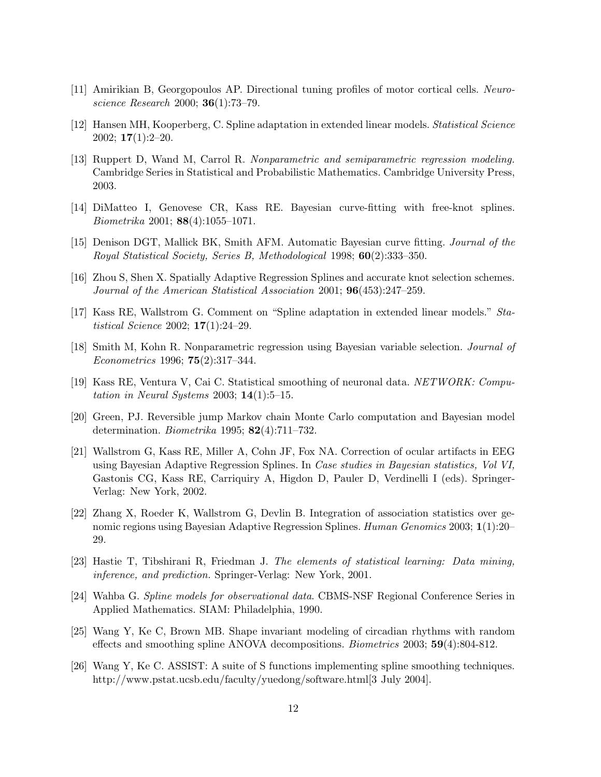- [11] Amirikian B, Georgopoulos AP. Directional tuning profiles of motor cortical cells. Neuroscience Research 2000; 36(1):73–79.
- [12] Hansen MH, Kooperberg, C. Spline adaptation in extended linear models. Statistical Science  $2002; 17(1):2-20.$
- [13] Ruppert D, Wand M, Carrol R. Nonparametric and semiparametric regression modeling. Cambridge Series in Statistical and Probabilistic Mathematics. Cambridge University Press, 2003.
- [14] DiMatteo I, Genovese CR, Kass RE. Bayesian curve-fitting with free-knot splines. Biometrika 2001; 88(4):1055–1071.
- [15] Denison DGT, Mallick BK, Smith AFM. Automatic Bayesian curve fitting. Journal of the Royal Statistical Society, Series B, Methodological 1998; 60(2):333–350.
- [16] Zhou S, Shen X. Spatially Adaptive Regression Splines and accurate knot selection schemes. Journal of the American Statistical Association 2001; 96(453):247–259.
- [17] Kass RE, Wallstrom G. Comment on "Spline adaptation in extended linear models." Statistical Science 2002; 17(1):24–29.
- [18] Smith M, Kohn R. Nonparametric regression using Bayesian variable selection. Journal of Econometrics 1996; 75(2):317–344.
- [19] Kass RE, Ventura V, Cai C. Statistical smoothing of neuronal data. NETWORK: Computation in Neural Systems 2003;  $14(1):5-15$ .
- [20] Green, PJ. Reversible jump Markov chain Monte Carlo computation and Bayesian model determination. Biometrika 1995; 82(4):711–732.
- [21] Wallstrom G, Kass RE, Miller A, Cohn JF, Fox NA. Correction of ocular artifacts in EEG using Bayesian Adaptive Regression Splines. In Case studies in Bayesian statistics, Vol VI, Gastonis CG, Kass RE, Carriquiry A, Higdon D, Pauler D, Verdinelli I (eds). Springer-Verlag: New York, 2002.
- [22] Zhang X, Roeder K, Wallstrom G, Devlin B. Integration of association statistics over genomic regions using Bayesian Adaptive Regression Splines. Human Genomics 2003; 1(1):20– 29.
- [23] Hastie T, Tibshirani R, Friedman J. The elements of statistical learning: Data mining, inference, and prediction. Springer-Verlag: New York, 2001.
- [24] Wahba G. Spline models for observational data. CBMS-NSF Regional Conference Series in Applied Mathematics. SIAM: Philadelphia, 1990.
- [25] Wang Y, Ke C, Brown MB. Shape invariant modeling of circadian rhythms with random effects and smoothing spline ANOVA decompositions. Biometrics 2003; 59(4):804-812.
- [26] Wang Y, Ke C. ASSIST: A suite of S functions implementing spline smoothing techniques. http://www.pstat.ucsb.edu/faculty/yuedong/software.html[3 July 2004].